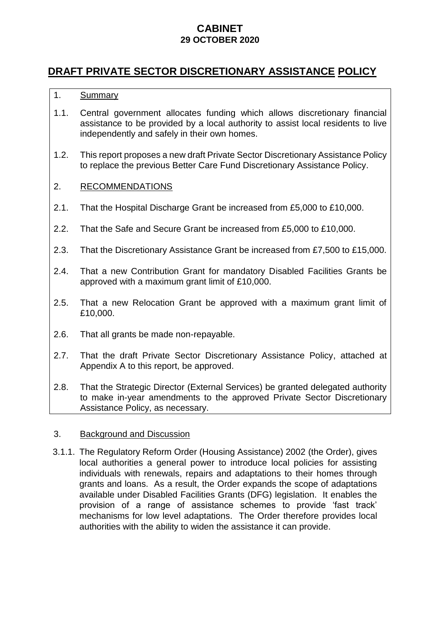# **CABINET 29 OCTOBER 2020**

# **DRAFT PRIVATE SECTOR DISCRETIONARY ASSISTANCE POLICY**

### 1. Summary

- 1.1. Central government allocates funding which allows discretionary financial assistance to be provided by a local authority to assist local residents to live independently and safely in their own homes.
- 1.2. This report proposes a new draft Private Sector Discretionary Assistance Policy to replace the previous Better Care Fund Discretionary Assistance Policy.

#### 2. RECOMMENDATIONS

- 2.1. That the Hospital Discharge Grant be increased from £5,000 to £10,000.
- 2.2. That the Safe and Secure Grant be increased from £5,000 to £10,000.
- 2.3. That the Discretionary Assistance Grant be increased from £7,500 to £15,000.
- 2.4. That a new Contribution Grant for mandatory Disabled Facilities Grants be approved with a maximum grant limit of £10,000.
- 2.5. That a new Relocation Grant be approved with a maximum grant limit of £10,000.
- 2.6. That all grants be made non-repayable.
- 2.7. That the draft Private Sector Discretionary Assistance Policy, attached at Appendix A to this report, be approved.
- 2.8. That the Strategic Director (External Services) be granted delegated authority to make in-year amendments to the approved Private Sector Discretionary Assistance Policy, as necessary.

#### 3. Background and Discussion

3.1.1. The Regulatory Reform Order (Housing Assistance) 2002 (the Order), gives local authorities a general power to introduce local policies for assisting individuals with renewals, repairs and adaptations to their homes through grants and loans. As a result, the Order expands the scope of adaptations available under Disabled Facilities Grants (DFG) legislation. It enables the provision of a range of assistance schemes to provide 'fast track' mechanisms for low level adaptations. The Order therefore provides local authorities with the ability to widen the assistance it can provide.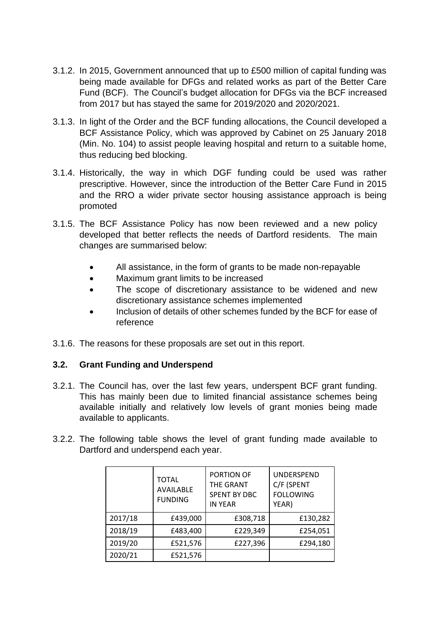- 3.1.2. In 2015, Government announced that up to £500 million of capital funding was being made available for DFGs and related works as part of the Better Care Fund (BCF). The Council's budget allocation for DFGs via the BCF increased from 2017 but has stayed the same for 2019/2020 and 2020/2021.
- 3.1.3. In light of the Order and the BCF funding allocations, the Council developed a BCF Assistance Policy, which was approved by Cabinet on 25 January 2018 (Min. No. 104) to assist people leaving hospital and return to a suitable home, thus reducing bed blocking.
- 3.1.4. Historically, the way in which DGF funding could be used was rather prescriptive. However, since the introduction of the Better Care Fund in 2015 and the RRO a wider private sector housing assistance approach is being promoted
- 3.1.5. The BCF Assistance Policy has now been reviewed and a new policy developed that better reflects the needs of Dartford residents. The main changes are summarised below:
	- All assistance, in the form of grants to be made non-repayable
	- Maximum grant limits to be increased
	- The scope of discretionary assistance to be widened and new discretionary assistance schemes implemented
	- Inclusion of details of other schemes funded by the BCF for ease of reference
- 3.1.6. The reasons for these proposals are set out in this report.

### **3.2. Grant Funding and Underspend**

- 3.2.1. The Council has, over the last few years, underspent BCF grant funding. This has mainly been due to limited financial assistance schemes being available initially and relatively low levels of grant monies being made available to applicants.
- 3.2.2. The following table shows the level of grant funding made available to Dartford and underspend each year.

|         | <b>TOTAL</b><br><b>AVAILABLE</b><br><b>FUNDING</b> | PORTION OF<br><b>THE GRANT</b><br><b>SPENT BY DBC</b><br><b>IN YEAR</b> | <b>UNDERSPEND</b><br>C/F (SPENT<br><b>FOLLOWING</b><br>YEAR) |
|---------|----------------------------------------------------|-------------------------------------------------------------------------|--------------------------------------------------------------|
| 2017/18 | £439,000                                           | £308,718                                                                | £130,282                                                     |
| 2018/19 | £483,400                                           | £229,349                                                                | £254,051                                                     |
| 2019/20 | £521,576                                           | £227,396                                                                | £294,180                                                     |
| 2020/21 | £521,576                                           |                                                                         |                                                              |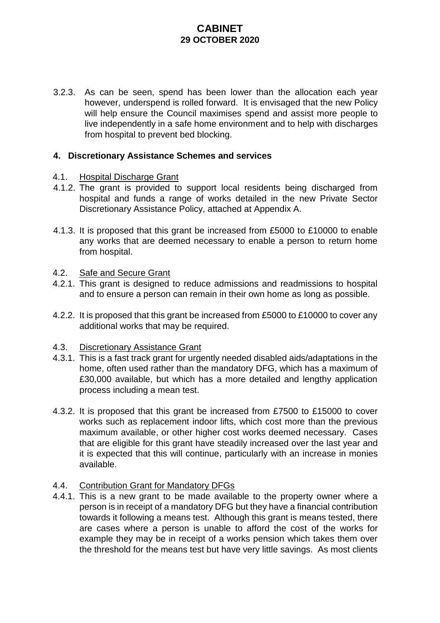# **CABINET 29 OCTOBER 2020**

3.2.3. As can be seen, spend has been lower than the allocation each year however, underspend is rolled forward. It is envisaged that the new Policy will help ensure the Council maximises spend and assist more people to live independently in a safe home environment and to help with discharges from hospital to prevent bed blocking.

#### **4. Discretionary Assistance Schemes and services**

#### 4.1. Hospital Discharge Grant

- 4.1.2. The grant is provided to support local residents being discharged from hospital and funds a range of works detailed in the new Private Sector Discretionary Assistance Policy, attached at Appendix A.
- 4.1.3. It is proposed that this grant be increased from £5000 to £10000 to enable any works that are deemed necessary to enable a person to return home from hospital.

#### 4.2. Safe and Secure Grant

- 4.2.1. This grant is designed to reduce admissions and readmissions to hospital and to ensure a person can remain in their own home as long as possible.
- 4.2.2. It is proposed that this grant be increased from £5000 to £10000 to cover any additional works that may be required.

#### 4.3. Discretionary Assistance Grant

- 4.3.1. This is a fast track grant for urgently needed disabled aids/adaptations in the home, often used rather than the mandatory DFG, which has a maximum of £30,000 available, but which has a more detailed and lengthy application process including a mean test.
- 4.3.2. It is proposed that this grant be increased from £7500 to £15000 to cover works such as replacement indoor lifts, which cost more than the previous maximum available, or other higher cost works deemed necessary. Cases that are eligible for this grant have steadily increased over the last year and it is expected that this will continue, particularly with an increase in monies available.

#### 4.4. Contribution Grant for Mandatory DFGs

4.4.1. This is a new grant to be made available to the property owner where a person is in receipt of a mandatory DFG but they have a financial contribution towards it following a means test. Although this grant is means tested, there are cases where a person is unable to afford the cost of the works for example they may be in receipt of a works pension which takes them over the threshold for the means test but have very little savings. As most clients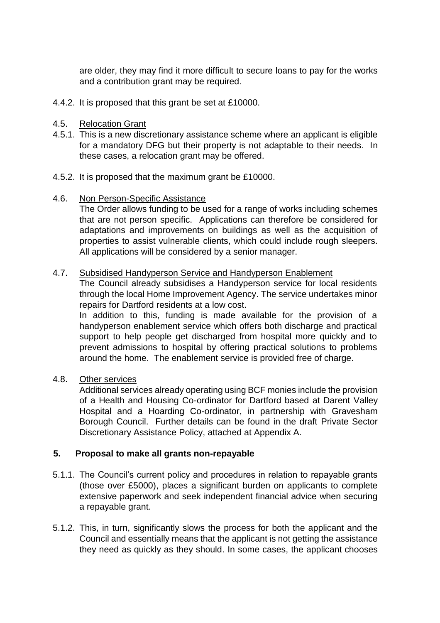are older, they may find it more difficult to secure loans to pay for the works and a contribution grant may be required.

4.4.2. It is proposed that this grant be set at £10000.

#### 4.5. Relocation Grant

- 4.5.1. This is a new discretionary assistance scheme where an applicant is eligible for a mandatory DFG but their property is not adaptable to their needs. In these cases, a relocation grant may be offered.
- 4.5.2. It is proposed that the maximum grant be £10000.
- 4.6. Non Person-Specific Assistance

The Order allows funding to be used for a range of works including schemes that are not person specific. Applications can therefore be considered for adaptations and improvements on buildings as well as the acquisition of properties to assist vulnerable clients, which could include rough sleepers. All applications will be considered by a senior manager.

#### 4.7. Subsidised Handyperson Service and Handyperson Enablement

The Council already subsidises a Handyperson service for local residents through the local Home Improvement Agency. The service undertakes minor repairs for Dartford residents at a low cost.

In addition to this, funding is made available for the provision of a handyperson enablement service which offers both discharge and practical support to help people get discharged from hospital more quickly and to prevent admissions to hospital by offering practical solutions to problems around the home. The enablement service is provided free of charge.

4.8. Other services

Additional services already operating using BCF monies include the provision of a Health and Housing Co-ordinator for Dartford based at Darent Valley Hospital and a Hoarding Co-ordinator, in partnership with Gravesham Borough Council. Further details can be found in the draft Private Sector Discretionary Assistance Policy, attached at Appendix A.

#### **5. Proposal to make all grants non-repayable**

- 5.1.1. The Council's current policy and procedures in relation to repayable grants (those over £5000), places a significant burden on applicants to complete extensive paperwork and seek independent financial advice when securing a repayable grant.
- 5.1.2. This, in turn, significantly slows the process for both the applicant and the Council and essentially means that the applicant is not getting the assistance they need as quickly as they should. In some cases, the applicant chooses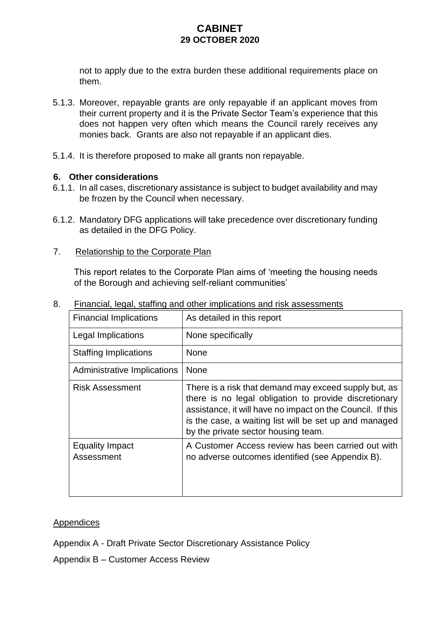# **CABINET 29 OCTOBER 2020**

not to apply due to the extra burden these additional requirements place on them.

- 5.1.3. Moreover, repayable grants are only repayable if an applicant moves from their current property and it is the Private Sector Team's experience that this does not happen very often which means the Council rarely receives any monies back. Grants are also not repayable if an applicant dies.
- 5.1.4. It is therefore proposed to make all grants non repayable.

#### **6. Other considerations**

- 6.1.1. In all cases, discretionary assistance is subject to budget availability and may be frozen by the Council when necessary.
- 6.1.2. Mandatory DFG applications will take precedence over discretionary funding as detailed in the DFG Policy.
- 7. Relationship to the Corporate Plan

This report relates to the Corporate Plan aims of 'meeting the housing needs of the Borough and achieving self-reliant communities'

| <b>Financial Implications</b>        | As detailed in this report                                                                                                                                                                                                                                                    |  |
|--------------------------------------|-------------------------------------------------------------------------------------------------------------------------------------------------------------------------------------------------------------------------------------------------------------------------------|--|
| Legal Implications                   | None specifically                                                                                                                                                                                                                                                             |  |
| <b>Staffing Implications</b>         | <b>None</b>                                                                                                                                                                                                                                                                   |  |
| Administrative Implications          | <b>None</b>                                                                                                                                                                                                                                                                   |  |
| <b>Risk Assessment</b>               | There is a risk that demand may exceed supply but, as<br>there is no legal obligation to provide discretionary<br>assistance, it will have no impact on the Council. If this<br>is the case, a waiting list will be set up and managed<br>by the private sector housing team. |  |
| <b>Equality Impact</b><br>Assessment | A Customer Access review has been carried out with<br>no adverse outcomes identified (see Appendix B).                                                                                                                                                                        |  |

8. Financial, legal, staffing and other implications and risk assessments

#### Appendices

Appendix A - Draft Private Sector Discretionary Assistance Policy

Appendix B – Customer Access Review